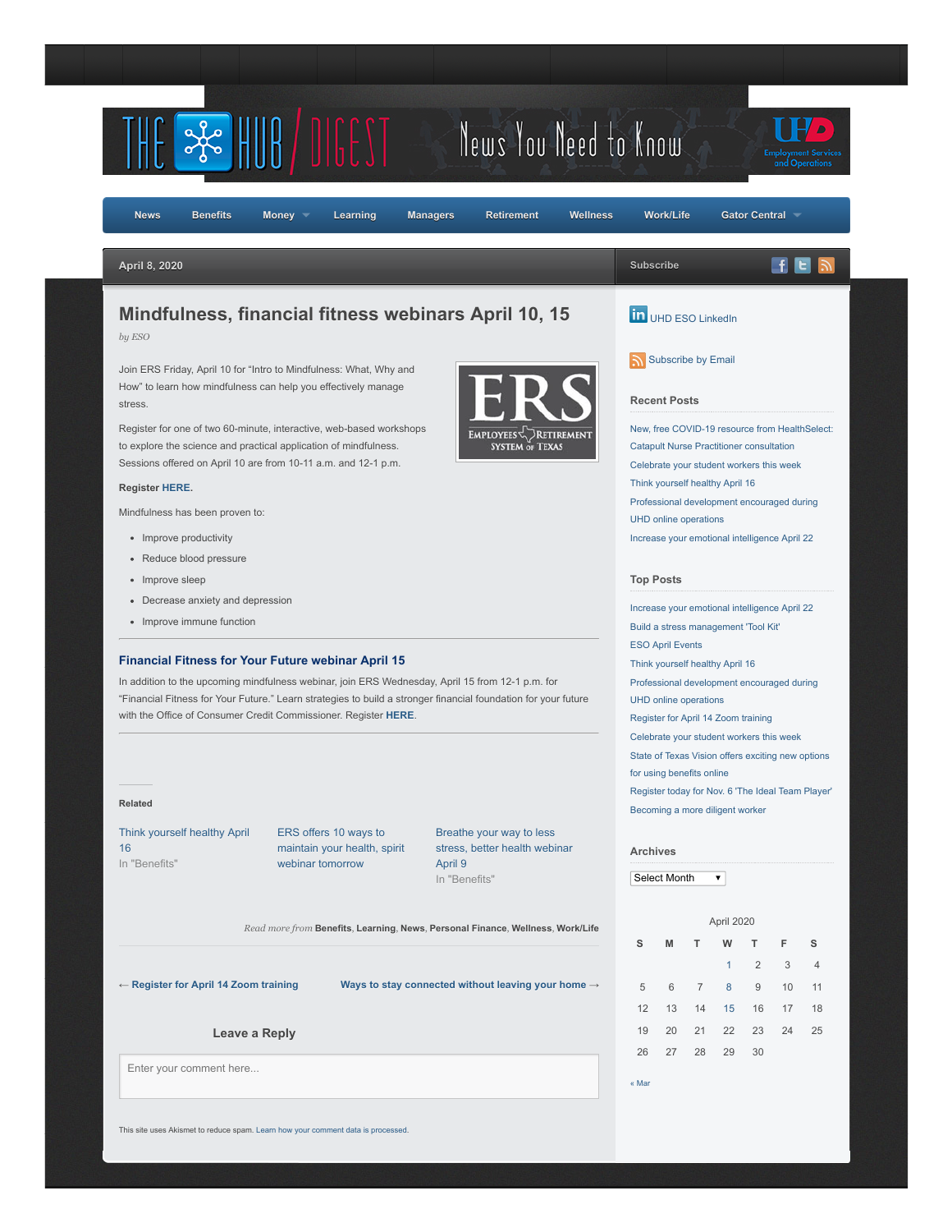

This site uses Akismet to reduce spam. [Learn how your comment data is processed.](https://akismet.com/privacy/)